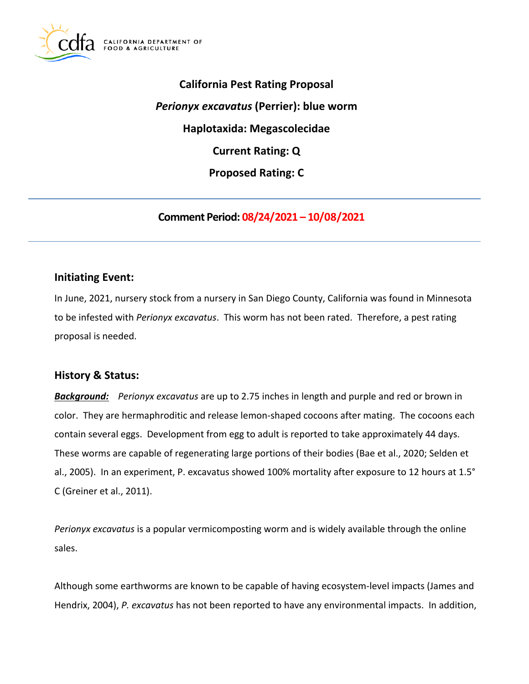

**California Pest Rating Proposal**  *Perionyx excavatus* **(Perrier): blue worm Haplotaxida: Megascolecidae Current Rating: Q Proposed Rating: C** 

**Comment Period: 08/24/2021 – 10/08/2021** 

### **Initiating Event:**

In June, 2021, nursery stock from a nursery in San Diego County, California was found in Minnesota to be infested with *Perionyx excavatus*. This worm has not been rated. Therefore, a pest rating proposal is needed.

### **History & Status:**

*Background: Perionyx excavatus* are up to 2.75 inches in length and purple and red or brown in color. They are hermaphroditic and release lemon-shaped cocoons after mating. The cocoons each contain several eggs. Development from egg to adult is reported to take approximately 44 days. These worms are capable of regenerating large portions of their bodies (Bae et al., 2020; Selden et al., 2005). In an experiment, P. excavatus showed 100% mortality after exposure to 12 hours at 1.5° C (Greiner et al., 2011).

*Perionyx excavatus* is a popular vermicomposting worm and is widely available through the online sales.

Although some earthworms are known to be capable of having ecosystem-level impacts (James and Hendrix, 2004), *P. excavatus* has not been reported to have any environmental impacts. In addition,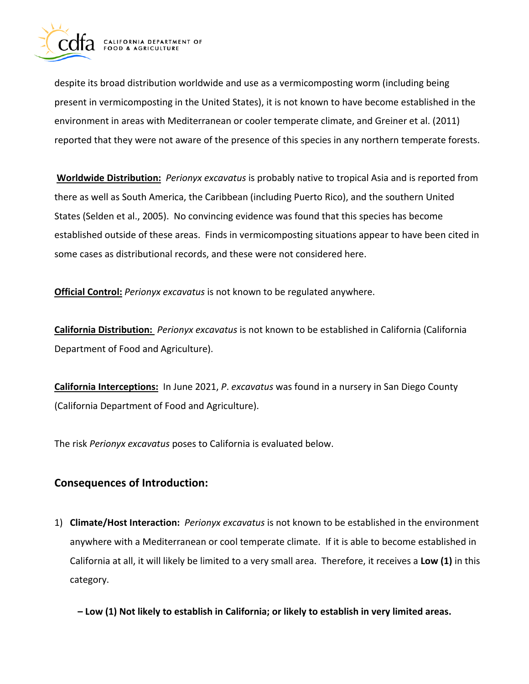

despite its broad distribution worldwide and use as a vermicomposting worm (including being present in vermicomposting in the United States), it is not known to have become established in the environment in areas with Mediterranean or cooler temperate climate, and Greiner et al. (2011) reported that they were not aware of the presence of this species in any northern temperate forests.

**Worldwide Distribution:** *Perionyx excavatus* is probably native to tropical Asia and is reported from there as well as South America, the Caribbean (including Puerto Rico), and the southern United States (Selden et al., 2005). No convincing evidence was found that this species has become established outside of these areas. Finds in vermicomposting situations appear to have been cited in some cases as distributional records, and these were not considered here.

**Official Control:** *Perionyx excavatus* is not known to be regulated anywhere.

**California Distribution:** *Perionyx excavatus* is not known to be established in California (California Department of Food and Agriculture).

**California Interceptions:** In June 2021, *P*. *excavatus* was found in a nursery in San Diego County (California Department of Food and Agriculture).

The risk *Perionyx excavatus* poses to California is evaluated below.

## **Consequences of Introduction:**

1) **Climate/Host Interaction:** *Perionyx excavatus* is not known to be established in the environment anywhere with a Mediterranean or cool temperate climate. If it is able to become established in California at all, it will likely be limited to a very small area. Therefore, it receives a **Low (1)** in this category.

**– Low (1) Not likely to establish in California; or likely to establish in very limited areas.**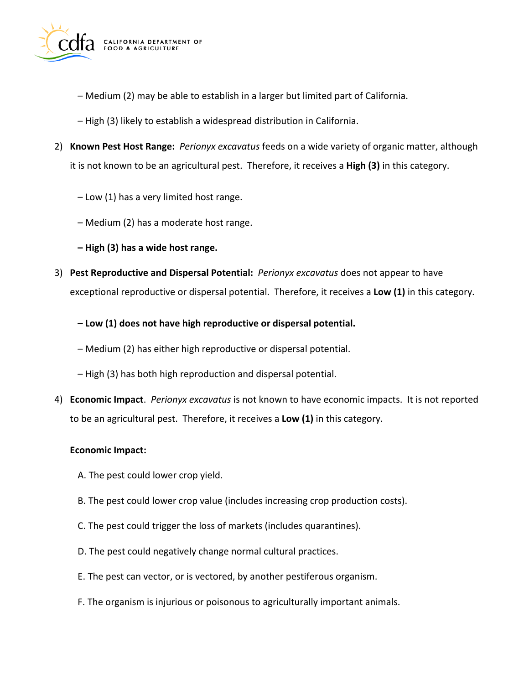

- Medium (2) may be able to establish in a larger but limited part of California.
- High (3) likely to establish a widespread distribution in California.
- 2) **Known Pest Host Range:** *Perionyx excavatus* feeds on a wide variety of organic matter, although it is not known to be an agricultural pest. Therefore, it receives a **High (3)** in this category.
	- Low (1) has a very limited host range.
	- Medium (2) has a moderate host range.
	- **High (3) has a wide host range.**
- 3) **Pest Reproductive and Dispersal Potential:** *Perionyx excavatus* does not appear to have exceptional reproductive or dispersal potential. Therefore, it receives a **Low (1)** in this category.
	- **Low (1) does not have high reproductive or dispersal potential.**
	- Medium (2) has either high reproductive or dispersal potential.
	- High (3) has both high reproduction and dispersal potential.
- 4) **Economic Impact**. *Perionyx excavatus* is not known to have economic impacts. It is not reported to be an agricultural pest. Therefore, it receives a **Low (1)** in this category.

#### **Economic Impact:**

- A. The pest could lower crop yield.
- B. The pest could lower crop value (includes increasing crop production costs).
- C. The pest could trigger the loss of markets (includes quarantines).
- D. The pest could negatively change normal cultural practices.
- E. The pest can vector, or is vectored, by another pestiferous organism.
- F. The organism is injurious or poisonous to agriculturally important animals.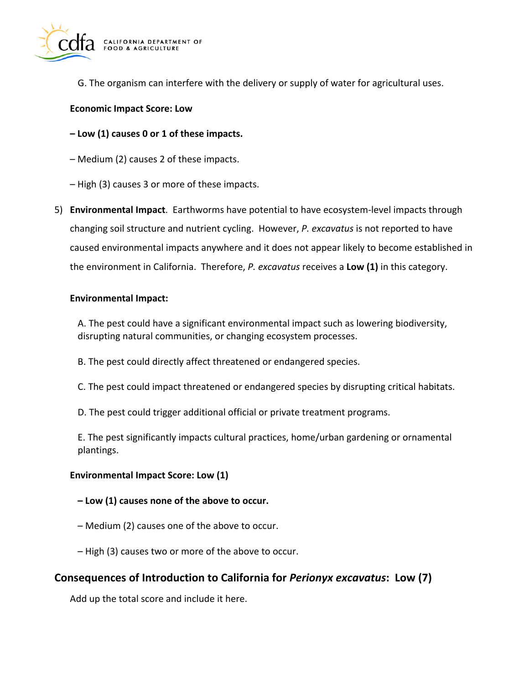

G. The organism can interfere with the delivery or supply of water for agricultural uses.

#### **Economic Impact Score: Low**

**– Low (1) causes 0 or 1 of these impacts.** 

– Medium (2) causes 2 of these impacts.

- High (3) causes 3 or more of these impacts.
- 5) **Environmental Impact**. Earthworms have potential to have ecosystem-level impacts through changing soil structure and nutrient cycling. However, *P. excavatus* is not reported to have caused environmental impacts anywhere and it does not appear likely to become established in the environment in California. Therefore, *P. excavatus* receives a **Low (1)** in this category.

#### **Environmental Impact:**

A. The pest could have a significant environmental impact such as lowering biodiversity, disrupting natural communities, or changing ecosystem processes.

- B. The pest could directly affect threatened or endangered species.
- C. The pest could impact threatened or endangered species by disrupting critical habitats.
- D. The pest could trigger additional official or private treatment programs.

E. The pest significantly impacts cultural practices, home/urban gardening or ornamental plantings.

#### **Environmental Impact Score: Low (1)**

- **Low (1) causes none of the above to occur.**
- Medium (2) causes one of the above to occur.
- High (3) causes two or more of the above to occur.

### **Consequences of Introduction to California for** *Perionyx excavatus***: Low (7)**

Add up the total score and include it here.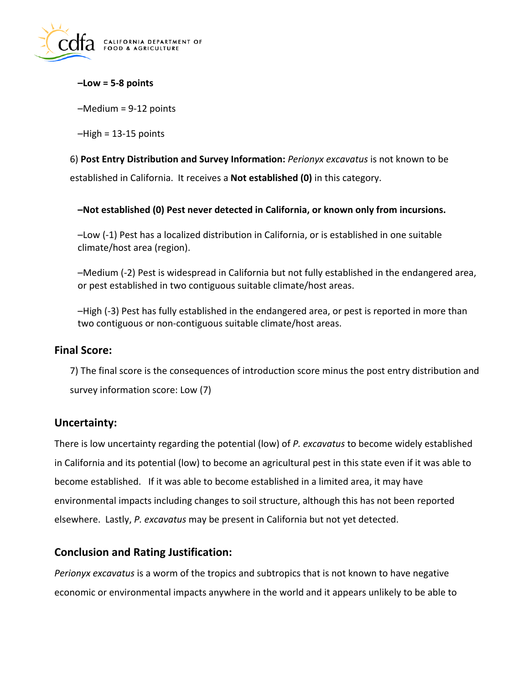

**–Low = 5-8 points** 

–Medium = 9-12 points

 $-High = 13-15$  points

6) **Post Entry Distribution and Survey Information:** *Perionyx excavatus* is not known to be established in California. It receives a **Not established (0)** in this category.

**–Not established (0) Pest never detected in California, or known only from incursions.** 

–Low (-1) Pest has a localized distribution in California, or is established in one suitable climate/host area (region).

–Medium (-2) Pest is widespread in California but not fully established in the endangered area, or pest established in two contiguous suitable climate/host areas.

–High (-3) Pest has fully established in the endangered area, or pest is reported in more than two contiguous or non-contiguous suitable climate/host areas.

### **Final Score:**

7) The final score is the consequences of introduction score minus the post entry distribution and survey information score: Low (7)

## **Uncertainty:**

There is low uncertainty regarding the potential (low) of *P. excavatus* to become widely established in California and its potential (low) to become an agricultural pest in this state even if it was able to become established. If it was able to become established in a limited area, it may have environmental impacts including changes to soil structure, although this has not been reported elsewhere. Lastly, *P. excavatus* may be present in California but not yet detected.

### **Conclusion and Rating Justification:**

*Perionyx excavatus* is a worm of the tropics and subtropics that is not known to have negative economic or environmental impacts anywhere in the world and it appears unlikely to be able to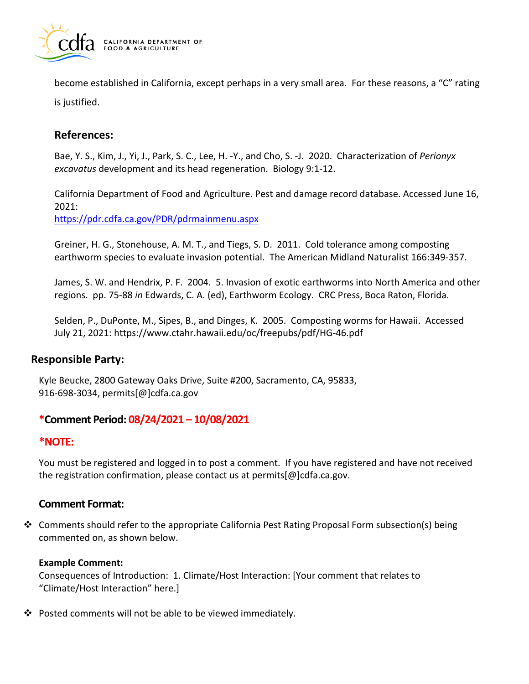

become established in California, except perhaps in a very small area. For these reasons, a "C" rating is justified.

# **References:**

Bae, Y. S., Kim, J., Yi, J., Park, S. C., Lee, H. -Y., and Cho, S. -J. 2020. Characterization of *Perionyx excavatus* development and its head regeneration. Biology 9:1-12.

California Department of Food and Agriculture. Pest and damage record database. Accessed June 16, 2021:

<https://pdr.cdfa.ca.gov/PDR/pdrmainmenu.aspx>

Greiner, H. G., Stonehouse, A. M. T., and Tiegs, S. D. 2011. Cold tolerance among composting earthworm species to evaluate invasion potential. The American Midland Naturalist 166:349-357.

James, S. W. and Hendrix, P. F. 2004. 5. Invasion of exotic earthworms into North America and other regions. pp. 75-88 *in* Edwards, C. A. (ed), Earthworm Ecology. CRC Press, Boca Raton, Florida.

Selden, P., DuPonte, M., Sipes, B., and Dinges, K. 2005. Composting worms for Hawaii. Accessed July 21, 2021:<https://www.ctahr.hawaii.edu/oc/freepubs/pdf/HG-46.pdf>

## **Responsible Party:**

Kyle Beucke, 2800 Gateway Oaks Drive, Suite #200, Sacramento, CA, 95833, 916-698-3034, [permits\[@\]cdfa.ca.gov](https://permits[@]cdfa.ca.gov) 

## **\*Comment Period: 08/24/2021 – 10/08/2021**

### **\*NOTE:**

You must be registered and logged in to post a comment. If you have registered and have not received the registration confirmation, please contact us at [permits\[@\]cdfa.ca.gov](https://permits[@]cdfa.ca.gov).

### **Comment Format:**

 $\clubsuit$  Comments should refer to the appropriate California Pest Rating Proposal Form subsection(s) being commented on, as shown below.

#### **Example Comment:**

Consequences of Introduction: 1. Climate/Host Interaction: [Your comment that relates to "Climate/Host Interaction" here.]

 $\cdot$  Posted comments will not be able to be viewed immediately.